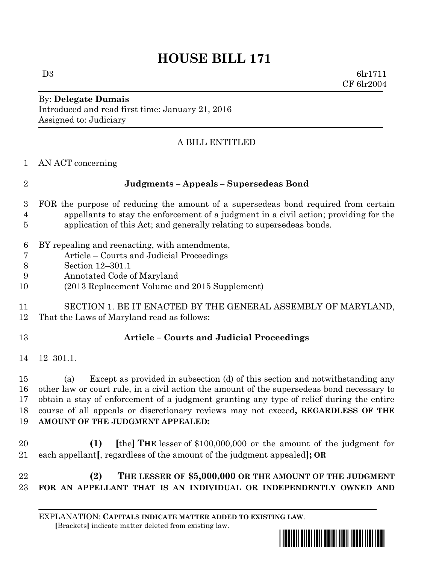## **HOUSE BILL 171**

 $D3 \t\t 6lr1711$ CF 6lr2004

## By: **Delegate Dumais** Introduced and read first time: January 21, 2016 Assigned to: Judiciary

## A BILL ENTITLED

| $\overline{2}$   | Judgments - Appeals - Supersedeas Bond                                                     |
|------------------|--------------------------------------------------------------------------------------------|
| 3                | FOR the purpose of reducing the amount of a supersedeas bond required from certain         |
| $\overline{4}$   | appellants to stay the enforcement of a judgment in a civil action; providing for the      |
| 5                | application of this Act; and generally relating to supersedeas bonds.                      |
| $\boldsymbol{6}$ | BY repealing and reenacting, with amendments,                                              |
| 7                | Article – Courts and Judicial Proceedings                                                  |
| $8\,$            | Section 12-301.1                                                                           |
| 9                | Annotated Code of Maryland                                                                 |
| 10               | (2013 Replacement Volume and 2015 Supplement)                                              |
| 11               | SECTION 1. BE IT ENACTED BY THE GENERAL ASSEMBLY OF MARYLAND,                              |
| 12               | That the Laws of Maryland read as follows:                                                 |
| 13               | <b>Article - Courts and Judicial Proceedings</b>                                           |
| 14               | $12 - 301.1.$                                                                              |
| 15               | Except as provided in subsection (d) of this section and notwithstanding any<br>(a)        |
| 16               | other law or court rule, in a civil action the amount of the supersedeas bond necessary to |
| 17               | obtain a stay of enforcement of a judgment granting any type of relief during the entire   |
| 18               | course of all appeals or discretionary reviews may not exceed, REGARDLESS OF THE           |
| 19               | AMOUNT OF THE JUDGMENT APPEALED:                                                           |
| 20               | [the] THE lesser of \$100,000,000 or the amount of the judgment for<br>(1)                 |
| 21               | each appellant[, regardless of the amount of the judgment appealed]; OR                    |
| 22               | THE LESSER OF \$5,000,000 OR THE AMOUNT OF THE JUDGMENT<br>(2)                             |
| 23               | FOR AN APPELLANT THAT IS AN INDIVIDUAL OR INDEPENDENTLY OWNED AND                          |

EXPLANATION: **CAPITALS INDICATE MATTER ADDED TO EXISTING LAW**.  **[**Brackets**]** indicate matter deleted from existing law.